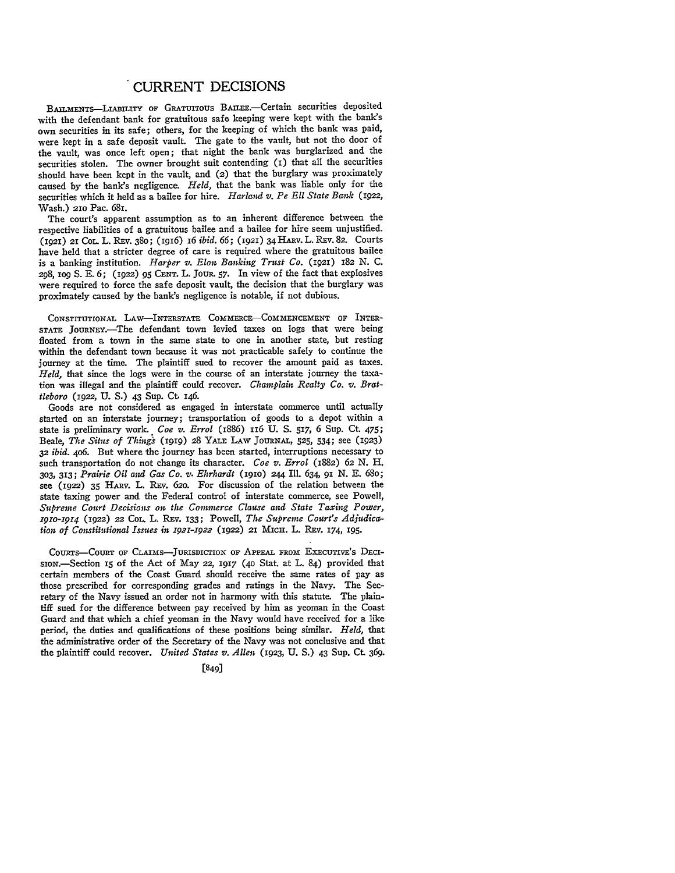## CURRENT DECISIONS

BAILMENTS-LIABILITY OF GRATUITOUS BAILEE.-Certain securities deposited with the defendant bank for gratuitous safe keeping were kept with the bank's own securities in its safe; others, for the keeping of which the bank was paid, were kept in a safe deposit vault. The gate to the vault, but not the door of the vault, was once left open; that night the bank was burglarized and the securities stolen. The owner brought suit contending (1) that all the securities should have been kept in the vault, and (2) that the burglary was proximately caused by the bank's negligence. *Held,* that the bank was liable only for the securities which it held as a bailee for hire. *Harland v. Pe Ell State Bank* (1922, Wash.) **2IO** Pac. 681.

The court's apparent assumption as to an inherent difference between the respective liabilities of a gratuitous bailee and a bailee for hire seem unjustified. **(1921) 21** CoL L. REv. 38o; (I916) 16 *ibid. 66;* **(192)** 34 HARv. L. REv. 82. Courts have held that a stricter degree of care is required where the gratuitous bailee is a banking institution. *Harper v. Elon Banking Trust Co.* (1921) 182 N. C. **298,** 1og **S. E.** 6; **(i922)** 95 **CENT.** L. **JOUR. 57.** In view of the fact that explosives were required to force the safe deposit vault, the decision that the burglary was proximately caused by the bank's negligence is notable, if not dubious.

CONSTITUTIONAL LAW-INTERSTATE **COMMERcE-COMMENCEMENT OF** INTER-STATE JOURNEY.-The defendant town levied taxes on logs that were being floated from a town in the same state to one in another state, but resting within the defendant town because it was not practicable safely to continue the journey at the time. The plaintiff sued to recover the amount paid as taxes. *Held,* that since the logs were in the course of an interstate journey the taxation was illegal and the plaintiff could recover. *Champlain Realty Co. v. Brattleboro* (922, U. S.) 43 Sup. Ct. 146.

Goods are not considered as engaged in interstate commerce until actually started on an interstate journey; transportation of goods to a depot within a state is preliminary work. *Coe v. Errol* (I886) II6 U. **S.** 517, 6 Sup. Ct. 475; Beale, *The Situs of Things* **(i919)** 28 YALE LAW JOURNAL, **525,** 534; see (1923) *32 ibid.* 4o6. But where the journey has been started, interruptions necessary to such transportation do not change its character. *Coe v. Errol* (1882) 62 *N.* H. **303,** 313; *Prairie Oil and Gas Co. v. Ehrhardt* (igio) 244 Ill. 634, **9i** *N.* E. 68o; see (1922) **35** HARv. L. REv. 62o. For discussion of the relation between the state taxing power and the Federal control of interstate commerce, see Powell, *Supreme Court Decisions on the Commerce Clause and State Taxing Power, z91o-19i4* (i922) 22 COL. L. REv. 133; Powell, *The Supreme Court's Adjudication of Constitutional Issues in 1921-1922* (1922) 21 MICH. L. REv. 174, 195.

COURTS-COURT OF CLAIMS-JURISDICTION OF APPEAL FROM EXECUTIVE'S DECIsioN.-Section **15** of the Act of May **22,** 1917 **(40** Stat. at L. 84) provided that certain members of the Coast Guard should receive the same rates of pay as those prescribed for corresponding grades and ratings in the Navy. The Secretary of the Navy issued an order not in harmony with this statute. The plaintiff sued for the difference between pay received by him as yeoman in the Coast Guard and that which a chief yeoman in the Navy would have received for a like period, the duties and qualifications of these positions being similar. *Held,* that the administrative order of the Secretary of the Navy was not conclusive and that the plaintiff could recover. *United States v. Allen* **(1923,** U. **S.)** 43 Sup. Ct. 369.

[849]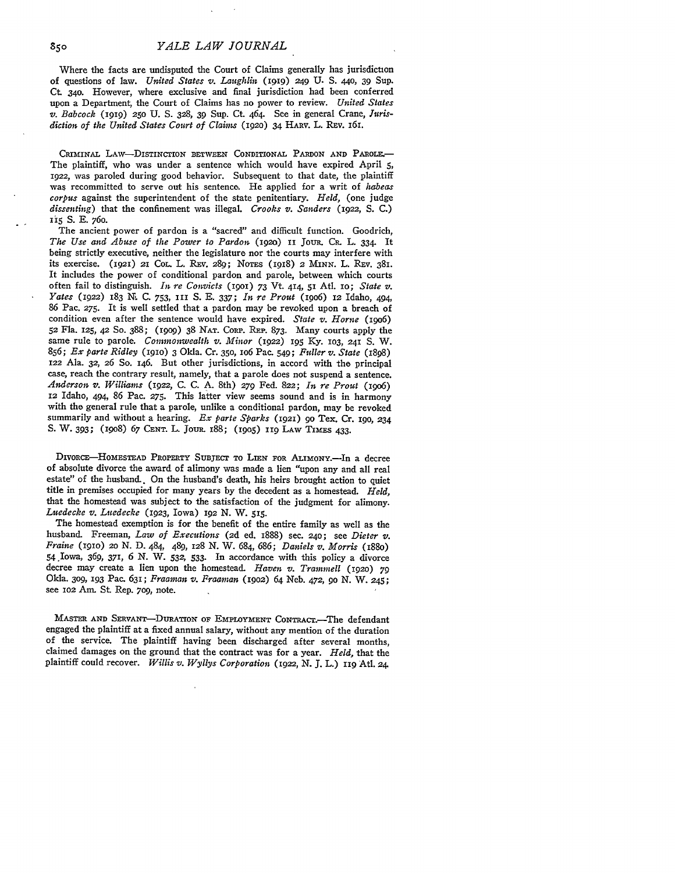## *YALE LAW JOURNAL*

Where the facts are undisputed the Court of Claims generally has jurisdiction of questions of law. *United States v. Laughlin* (1919) 249 U. S. 440, 39 Sup. Ct 340. However, where exclusive and final jurisdiction had been conferred upon a Department, the Court of Claims has no power to review. *United States v. Babcock* **(1919) 250** U. **S.** 328, 39 Sup. Ct. 464. See in general Crane, *.urisdiction of the United States Court of Claims* **(192o)** 34 HARv. L. REv. 161.

CRIMINAL LAW-DISTINCTION BETWEEN CONDITIONAL PARDON AND PAROLE. The plaintiff, who was under a sentence which would have expired April 5, 1922, was paroled during good behavior. Subsequent to that date, the plaintiff was recommitted to serve out his sentence. He applied for a writ of *habeas corpus* against the superintendent of the state penitentiary. *Held,* (one judge *dissenting)* that the confinement was illegal. *Crooks v. Sanders* (1922, **S. C.) ii5** S. E. 76o.

The ancient power of pardon is a "sacred" and difficult function. Goodrich, *The Use and Abuse of the Power to Pardon* **(192o) ii** Jou. **CR.** L. 334 It being strictly executive, neither the legislature nor the courts may interfere with its exercise. **(1921) 21** COL. L. Rxv. 289; NoTs (IgI8) **2** MINN. L. REv. 381. It includes the power of conditional pardon and parole, between which courts often fail to distinguish. *In re Convicts* **(190)** 73 Vt. **414,** 51 Atl. **IO;** *State v. Yates* (1922) 183 *N.* **C.** 753, *ini* **S. E. 337;** *In re Prout* (igo6) 12 Idaho, 494, **86** Pac. **275.** It is well settled that a pardon may be revoked upon a breach of condition even after the sentence would have expired. *State v. Horne* (igo6) **52** Fla. **125, 42 So. 388;** (199o) **38 NAT.** CORP. **REP. 873.** Many courts apply the same rule to parole. *Commonwealth v. Minor* (1922) **195 Ky. 103, 241 S.** W. **856;** *Ex parte Ridley* (1910) **3** Okla. Cr. **350,** io6 Pac. **549;** *Fuller v. State* (1898) 122 Ala. **32,** *26* So. 146. But other jurisdictions, in accord with the principal case, reach the contrary result, namely, that a parole does not suspend a sentence. *Anderson v. Williams* **(1922, C. C. A.** 8th) **279** Fed. **822;** *In re Prout* (19o6) 12 Idaho, 494, **86** Pac. **275.** This latter view seems sound and is in harmony with the general rule that a parole, unlike a conditional pardon, may be revoked summarily and without a hearing. *Ex parte Sparks* (1921) **9o** Tex. Cr. **Igo, 234** S. W. **393;** (19o8) *67* **CENT.** L. JouR. 188; (io5) **119** LAw TIMES 433.

DIvoRCE-HOMEsTEAD PROPERTY **SUBJECT** TO LIEN FOR **ALIMONY.-In** a decree of absolute divorce the award of alimony was made a lien "upon any and all real estate" of the husband. On the husband's death, his heirs brought action to quiet title in premises occupied for many years by the decedent as a homestead. *Held,* that the homestead was subject to the satisfaction of the judgment for alimony. *Luedecke v. Luedecke* (1923, Iowa) 192 N. W. **515.**

The homestead exemption is for the benefit of the entire family as well as the husband. Freeman, *Law of Executions* **(2d** ed. 1888) sec. 240; see *Dieter v. Fraire (igio)* 2o N. D. 484, 489, 128 N. W. 684, 686; *Daniels v. Morris* (188o) 54 Iowa, *369,* 371, 6 N. W. 532, 533. In accordance with this policy a divorce decree may create a lien upon the homestead. *Haven v. Trammell* (1920) 79 Okla. **309,** 193 Pac. 631; *Praaman v. Franuxn* **(1902)** 64 Neb. 472, *9o* N. W. 245; see **102** *.Am.* St Rep. *7o9,* note.

**MASTER AND SERVANT-DuRATION OF EMPLOYMENT CONTRACT.-The** defendant engaged the plaintiff at a fixed annual salary, without any mention of the duration of the service. The plaintiff having been discharged after several months, claimed damages on the ground that the contract was for a year. *Held,* that the plaintiff could recover. *Willis v. Wyllys Corporation (1922,* **N.** J. L.) **119** AtI. 24.

850